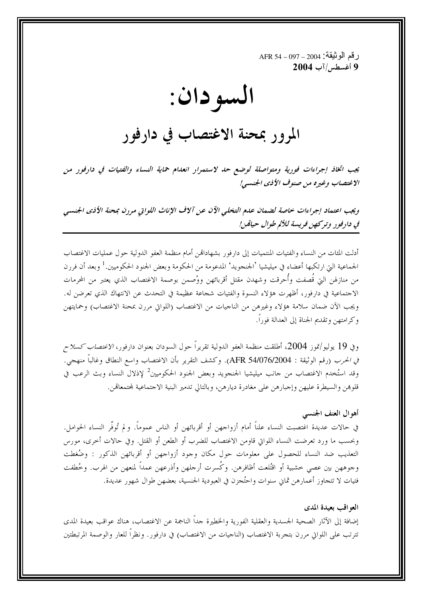ر قم الو ثيقة: 2004 – 397 – AFR 54 9 أغسطس/آب 2004

## السو دان:

## المرور بمحنة الاغتصاب في دارفور

يجب اتخاذ إجراءات فورية ومتواصلة لوضع حد لاستمرار انعدام حماية النساء والفتيات في دارفور من الاغتصاب وغيره من صنوف الأذي الجنسبي!

ويجب اعتماد إجراءات خاصة لضمان علم التخلي الآن عن آلاف الإناث اللواتي مررن بمحنة الأذى الجنسي في دارفور وتركهن فريسة للألم طوال حياةمن!

أدلت المئات من النساء والفتيات المنتميات إلى دارفور بشهاداتمن أمام منظمة العفو الدولية حول عمليات الاغتصاب الجماعية التي ارتكبها أعضاء في ميليشيا 'الجنجويد' المدعومة من الحكومة وبعض الجنود الحكوميين.<sup>1</sup> وبعد أن فررن من منازلهن التي قُصفت وأُحرقت وشهدن مقتل أقربائهن ووُصمن بوصمة الاغتصاب الذي يعتبر من المحرمات الاجتماعية في دارفور، أظهرت هؤلاء النسوة والفتيات شجاعة عظيمة في التحدث عن الانتهاك الذي تعرضن له. ويجب الآن ضمان سلامة هؤلاء وغيرهن من الناجيات من الاغتصاب (اللواتي مررن بمحنة الاغتصاب) وحمايتهن وكرامتهن وتقديم الجناة إلى العدالة فورا.

وفي 19 يوليو/تموز 2004، أطلقت منظمة العفو الدولية تقريراً حول السودان بعنوان دارفور، *الاغتصاب كسلاح في الحرب* (رقم الوثيقة : AFR 54/076/2004). وكشف التقرير بأن الاغتصاب واسع النطاق وغالباً منهجي. وقد استُخدم الاغتصاب من حانب ميليشيا الجنجويد وبعض الجنود الحكوميين<sup>2</sup> لإذلال النساء وبث الرعب في قلوهن والسيطرة عليهن وإجبارهن على مغادرة ديارهن، وبالتالي تدمير البنية الاحتماعية لمحتمعاقن.

## أهوال العنف الجنسبي

في حالات عديدة اغتصبت النساء علناً أمام أزواجهن أو أقربائهن أو الناس عموماً. و لم تُوفَّر النساء الحوامل. وبحسب ما ورد تعرضت النساء اللواتي قاومن الاغتصاب للضرب أو الطعن أو القتل. وفي حالات أخرى، مورس التعذيب ضد النساء للحصول على معلومات حول مكان وحود أزواحهن أو أقربائهن الذكور : وضُغطت وجوههن بين عصي حشبية أو اقتُلعت أظافرهن. وكَسرت أرجلهن وأذرعهن عمداً لمنعهن من الهرب. وخُطفت فتيات لا تتجاوز أعمارهن ثماني سنوات واحتُجزن في العبودية الجنسية، بعضهن طوال شهور عديدة.

العواقب بعيدة المدى

إضافة إلى الآثار الصحية الجسدية والعقلية الفورية والخطيرة حداً الناجمة عن الاغتصاب، هناك عواقب بعيدة المدى تترتب على اللواتي مررن بتجربة الاغتصاب (الناجيات من الاغتصاب) في دارفور. ونظراً للعار والوصمة المرتبطتين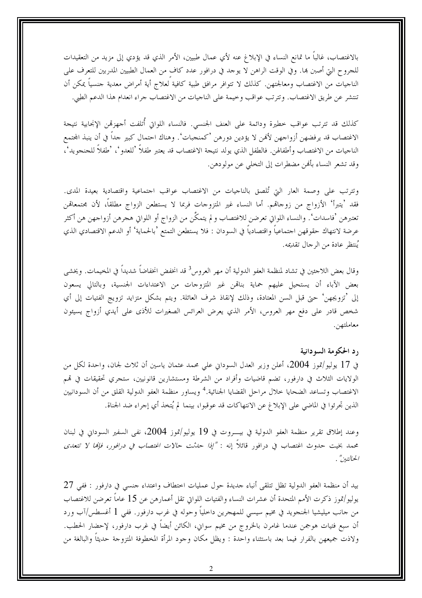بالاغتصاب، غالبًا ما تمانع النساء في الإبلاغ عنه لأي عمال طبيين، الأمر الذي قد يؤدي إلى مزيد من التعقيدات للجروح التي أصبن بما. وفي الوقت الراهن لا يوحد في درافور عدد كاف من العمال الطبيين المدربين للتعرف على الناحيات من الاغتصاب ومعالجتهن. كذلك لا تتوافر مرافق طبية كافية لعلاج أية أمراض معدية حنسياً يمكن أن تنتشر عن طريق الاغتصاب. وتترتب عواقب وخيمة على الناحيات من الاغتصاب جراء انعدام هذا الدعم الطبي.

كذلك قد تترتب عواقب حطيرة ودائمة على العنف الجنسي. فالنساء اللواتي أُتلفت أجهزقمن الإنجابية نتيجة الاغتصاب قد يرفضهن أزواجهن لأفمن لا يؤدين دورهن 'كمنجبات'. وهناك احتمال كبير جداً في أن ينبذ المحتمع الناجيات من الاغتصاب وأطفالهن. فالطفل الذي يولد نتيجة الاغتصاب قد يعتبر طفلاً 'للعدو '، 'طفلاً للجنجويد'، وقد تشعر النساء بألهن مضطرات إلى التخلي عن مولودهن.

وتترتب على وصمة العار التي تُلصق بالناجيات من الاغتصاب عواقب احتماعية واقتصادية بعيدة المدى. فقد 'يتبرأ' الأزواج من زوحاقم. أما النساء غير المتزوحات فربما لا يستطعن الزواج مطلقاً، لأن مجتمعاقمن تعتبرهن 'فاسدات'. والنساء اللواتي تعرضن للاغتصاب و لم يتمكَّن من الزواج أو اللواتي هجرهن أزواجهن هن أكثر عرضة لانتهاك حقوقهن اجتماعياً واقتصادياً في السودان : فلا يستطعن التمتع 'بالحماية' أو الدعم الاقتصادي الذي يُنتظر عادة من الرجال تقديمه.

وقال بعض اللاجئين في تشاد لمنظمة العفو الدولية أن مهر العروس<sup>3</sup> قد انخفض انخفاضاً شديداً في المخيمات. ويخشى بعض الآباء أن يستحيل عليهم حماية بناقمن غير المتزوجات من الاعتداءات الجنسية، وبالتالي يسعون إلى 'تزويجهن' حتى قبل السن المعتادة، وذلك لإنقاذ شرف العائلة. ويتم بشكل متزايد تزويج الفتيات إلى أي شخص قادر على دفع مهر العروس، الأمر الذي يعرض العرائس الصغيرات للأذى على أيدي أزواج يسيئون معاملتهن.

رد الحكومة السودانية

في 17 يوليو/تموز 2004، أعلن وزير العدل السوداني على محمد عثمان ياسين أن ثلاث لجان، واحدة لكل من الولايات الثلاث في دارفور، تضم قاضيات وأفراد من الشرطة ومستشارين قانونيين، ستجري تحقيقات في تمم الاغتصاب وتساعد الضحايا خلال مراحل القضايا الجنائية.<sup>4</sup> ويساور منظمة العفو الدولية القلق من أن السودانيين الذين تحرئوا في الماضي على الإبلاغ عن الانتهاكات قد عوقبوا، بينما لم يُتخذ أي إجراء ضد الجناة.

وعند إطلاق تقرير منظمة العفو الدولية في بيـــروت في 19 يوليو/تموز 2004، نفي السفير السوداني في لبنان محمد بخيت حدوث اغتصاب في درافور قائلاً إنه : *"إذا حدثت حالات اغتصاب في درافور، فإنما لا تتعدى* الحالتين" .

بيد أن منظمة العفو الدولية تظل تتلقى أنباء حديدة حول عمليات اختطاف واعتداء حنسى في دارفور : ففي 27 يوليو/تموز ذكرت الأمم المتحدة أن عشرات النساء والفتيات اللواتي تقل أعمارهن عن 15 عاماً تعرضن للاغتصاب من حانب ميليشيا الجنجويد في مخيم سيسى للمهجرين داخلياً وحوله في غرب دارفور. ففي 1 أغسطس/آب ورد أن سبع فتيات هوجمن عندما غامرن بالخروج من مخيم سواني، الكائن أيضاً في غرب دارفور، لإحضار الحطب. ولاذت جميعهن بالفرار فيما بعد باستثناء واحدة : ويظل مكان وحود المرأة المخطوفة المتزوجة حديثاً والبالغة من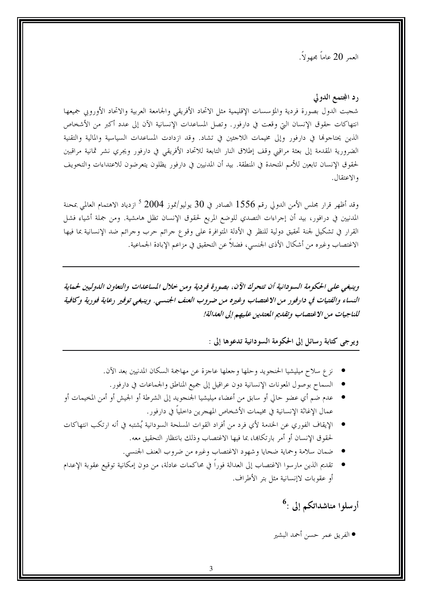العمر 20 عاماً مجهولاً.

رد المجتمع الدولي

شجبت الدول بصورة فردية والمؤسسات الإقليمية مثل الاتحاد الأفريقي والجامعة العربية والاتحاد الأوروبي جميعها انتهاكات حقوق الإنسان التي وقعت في دارفور. وتصل المساعدات الإنسانية الآن إلى عدد أكبر من الأشخاص الذين يحتاجوها في دارفور وإلى مخيمات اللاحئين في تشاد. وقد ازدادت المساعدات السياسية والمالية والتقنية الضرورية المقدمة إلى بعثة مراقبي وقف إطلاق النار التابعة للاتحاد الأفريقي في دارفور ويجري نشر ثمانية مراقبين لحقوق الإنسان تابعين للأمم المتحدة في المنطقة. بيد أن المدنيين في دارفور يظلون يتعرضون للاعتداءات والتخويف والاعتقال.

وقد أظهر قرار مجلس الأمن الدولي رقم 1556 الصادر في 30 يوليو/تموز 2004 <sup>5</sup> ازدياد الاهتمام العالمي بمحنة المدنيين في درافور، بيد أن إجراءات التصدي للوضع المريع لحقوق الإنسان تظل هامشية. ومن جملة أشياء فشل القرار في تشكيل لجنة تحقيق دولية للنظر في الأدلة المتوافرة على وقوع جرائم حرب وجرائم ضد الإنسانية بما فيها الاغتصاب وغيره من أشكال الأذى الجنسي، فضلاً عن التحقيق في مزاعم الإبادة الجماعية.

وينبغي على الحكومة السودانية أن تتحرك الآن، بصورة فردية ومن خلال المساعدات والتعاون الدوليين لحماية النساء والفتيات في دارفور من الاغتصاب وغيره من ضروب العنف الجنسي. وينبغي توفير رعاية فورية وكافية للناجيات من الاغتصاب وتقديم المعتدين عليهم إلى العدالة!

## ويرجى كتابة رسائل إلى الحكومة السودانية تدعوها إلى :

- نزع سلاح ميليشيا الحنجويد وحلها وجعلها عاجزة عن مهاجمة السكان المدنيين بعد الآن.
	- السماح بوصول المعونات الإنسانية دون عراقيل إلى جميع المناطق والجماعات في دارفور.
- عدم ضم أي عضو حالي أو سابق من أعضاء ميليشيا الجنجويد إلى الشرطة أو الجيش أو أمن المخيمات أو عمال الإغاثة الإنسانية في مخيمات الأشخاص المهجرين داخلياً في دارفور.
- الإيقاف الفوري عن الخدمة لأي فرد من أفراد القوات المسلحة السودانية يُشتبه في أنه ارتكب انتهاكات لحقوق الإنسان أو أمر بارتكاها، بما فيها الاغتصاب وذلك بانتظار التحقيق معه.
	- ضمان سلامة وحماية ضحايا وشهود الاغتصاب وغيره من ضروب العنف الجنسي.
- تقديم الذين مارسوا الاغتصاب إلى العدالة فوراً في محاكمات عادلة، من دون إمكانية توقيع عقوبة الإعدام أو عقوبات لاإنسانية مثل بتر الأطراف.

أرسلوا مناشداتكم إلى :<sup>6</sup>

● الفريق عمر حسن أحمد البشير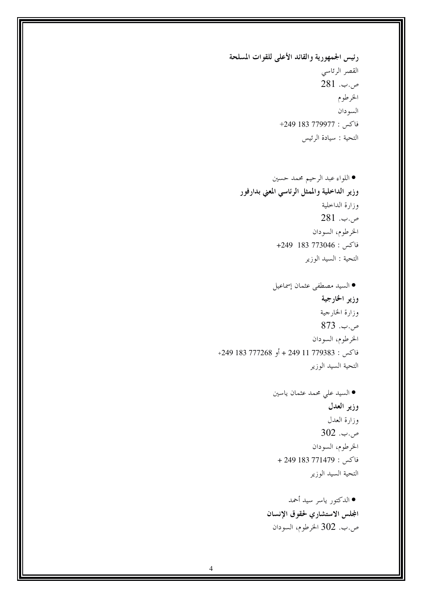رئيس الجمهورية والقائد الأعلى للقوات المسلحة القصر الرئاسي ص.ب. 281 الخرطوم السودان فاكس : 779977 183 1249+ التحية : سيادة الرئيس

● الدكتور ياسر سيد أحمد المجلس الاستشاري لحقوق الإنسان ص.ب. 302 الخرطوم، السودان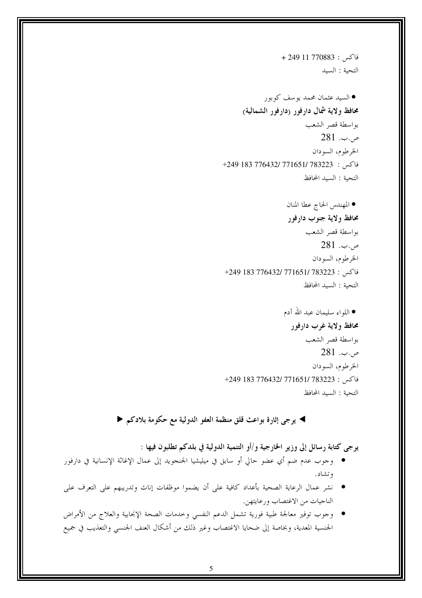فاكس: 770883 + 249 + التحية : السيد

▶ يرجى إثارة بواعث قلق منظمة العفو الدولية مع حكومة بلادكم ♦

يرجى كتابة رسائل إلى وزير الخارجية و/أو التنمية الدولية في بلدكم تطلبون فيها :

- وجوب عدم ضم أي عضو حالي أو سابق في ميليشيا الجنجويد إلى عمال الإغاثة الإنسانية في دارفور وتشاد.
- نشر عمال الرعاية الصحية بأعداد كافية على أن يضموا موظفات إناث وتدريبهم على التعرف على الناجيات من الاغتصاب ورعايتهن.
- وجوب توفير معالجة طبية فورية تشمل الدعم النفسي وخدمات الصحة الإنجابية والعلاج من الأمراض الجنسية المعدية، وبخاصة إلى ضحايا الاغتصاب وغير ذلك من أشكال العنف الجنسي والتعذيب في جميع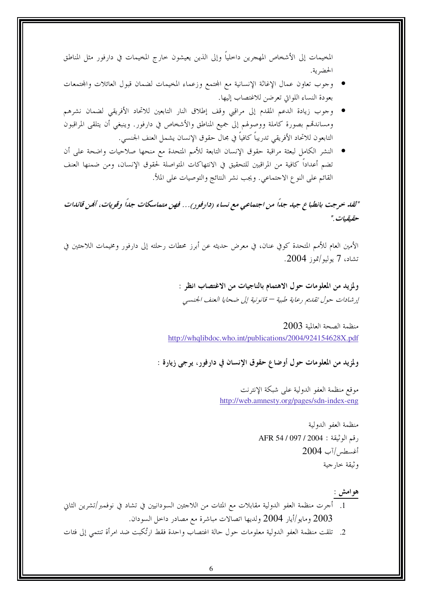المخيمات إلى الأشخاص المهجرين داخلياً وإلى الذين يعيشون خارج المخيمات في دارفور مثل المناطق الحضربة.

- وجوب تعاون عمال الإغاثة الإنسانية مع المجتمع وزعماء المخيمات لضمان قبول العائلات والمجتمعات بعودة النساء اللواتي تعرضن للاغتصاب إليها.
- وجوب زيادة الدعم المقدم إلى مراقبي وقف إطلاق النار التابعين للاتحاد الأفريقي لضمان نشرهم ومساندقمم بصورة كاملة ووصولهم إلى جميع المناطق والأشخاص في دارفور. وينبغي أن يتلقى المراقبون التابعون للاتحاد الأفريقي تدريباً كافياً في مجال حقوق الإنسان يشمل العنف الجنسي.
- النشر الكامل لبعثة مراقبة حقوق الإنسان التابعة للأمم المتحدة مع منحها صلاحيات واضحة على أن تضم أعداداً كافية من المراقبين للتحقيق في الانتهاكات المتواصلة لحقوق الإنسان، ومن ضمنها العنف القائم على النوع الاحتماعي. ويجب نشر النتائج والتوصيات على الملأ.

"لقد خرجت بانطباع جيد جداً من اجتماعي مع نساء (دارفور)... فهن متماسكات جداً وقويات، أمُن قائدات حقيقيات."

الأمين العام للأمم المتحدة كوفي عنان، في معرض حديثه عن أبرز محطات رحلته إلى دارفور ومخيمات اللاحئين في تشاد، 7 يوليو/تموز 2004.

> ولمزيد من المعلومات حول الاهتمام بالناجيات من الاغتصاب انظر : إرشادات حول تقليم رعاية طبية — قانونية إلى ضحايا العنف الجنسبي

2003 الصحة العالمة http://whqlibdoc.who.int/publications/2004/924154628X.pdf

ولمزيد من المعلومات حول أوضاع حقوق الإنسان في دارفور، يرجى زيارة :

موقع منظمة العفو الدولية على شبكة الإنترنت http://web.amnesty.org/pages/sdn-index-eng

> منظمة العفو الدولية رقم الوثيقة : 2004 / AFR 54 / 097 أغسطس/آب 2004 وثيقة خارجية

> > هو امش :

- 1. أجرت منظمة العفو الدولية مقابلات مع المئات من اللاجئين السودانيين في تشاد في نوفمبر/تشرين الثاني ومايو/أيار 2004 ولديها اتصالات مباشرة مع مصادر داحل السودان.  $2003\,$
- 2. تلقت منظمة العفو الدولية معلومات حول حالة اغتصاب واحدة فقط ارتُكبت ضد امرأة تنتمي إلى فئات